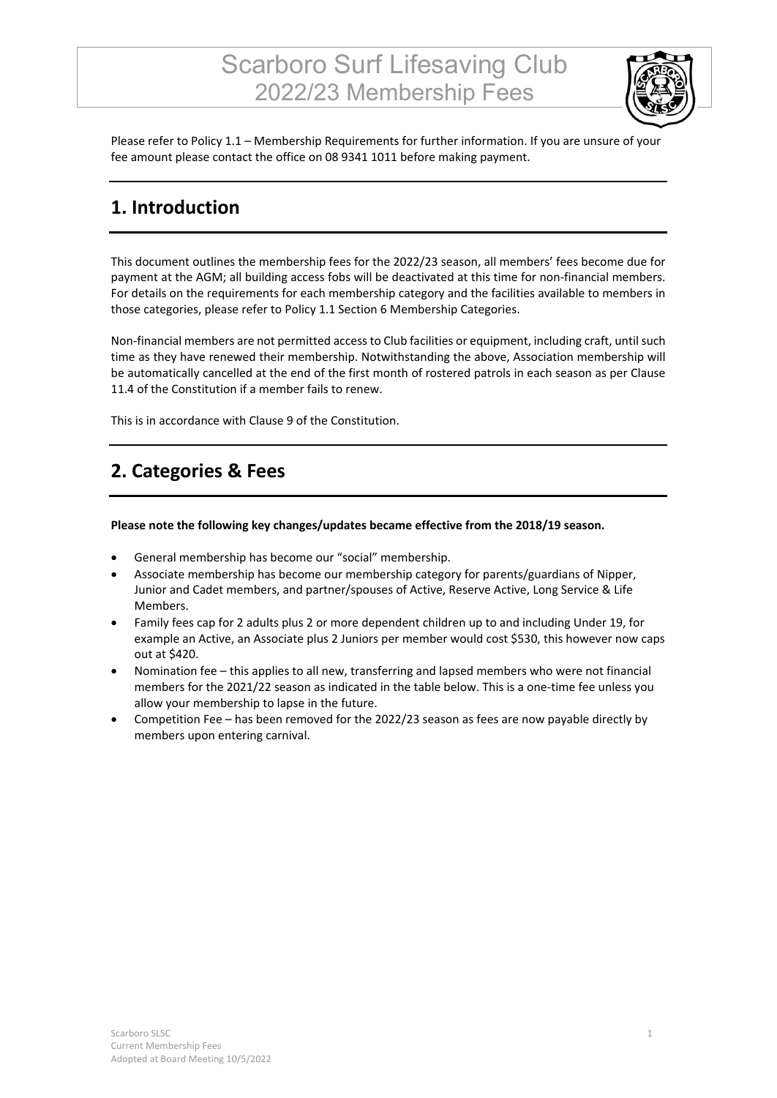# Scarboro Surf Lifesaving Club 2022/23 Membership Fees



Please refer to Policy 1.1 – Membership Requirements for further information. If you are unsure of your fee amount please contact the office on 08 9341 1011 before making payment.

### **1. Introduction**

This document outlines the membership fees for the 2022/23 season, all members' fees become due for payment at the AGM; all building access fobs will be deactivated at this time for non-financial members. For details on the requirements for each membership category and the facilities available to members in those categories, please refer to Policy 1.1 Section 6 Membership Categories.

Non-financial members are not permitted access to Club facilities or equipment, including craft, until such time as they have renewed their membership. Notwithstanding the above, Association membership will be automatically cancelled at the end of the first month of rostered patrols in each season as per Clause 11.4 of the Constitution if a member fails to renew.

This is in accordance with Clause 9 of the Constitution.

### **2. Categories & Fees**

#### **Please note the following key changes/updates became effective from the 2018/19 season.**

- General membership has become our "social" membership.
- Associate membership has become our membership category for parents/guardians of Nipper, Junior and Cadet members, and partner/spouses of Active, Reserve Active, Long Service & Life Members.
- Family fees cap for 2 adults plus 2 or more dependent children up to and including Under 19, for example an Active, an Associate plus 2 Juniors per member would cost \$530, this however now caps out at \$420.
- Nomination fee this applies to all new, transferring and lapsed members who were not financial members for the 2021/22 season as indicated in the table below. This is a one-time fee unless you allow your membership to lapse in the future.
- Competition Fee has been removed for the 2022/23 season as fees are now payable directly by members upon entering carnival.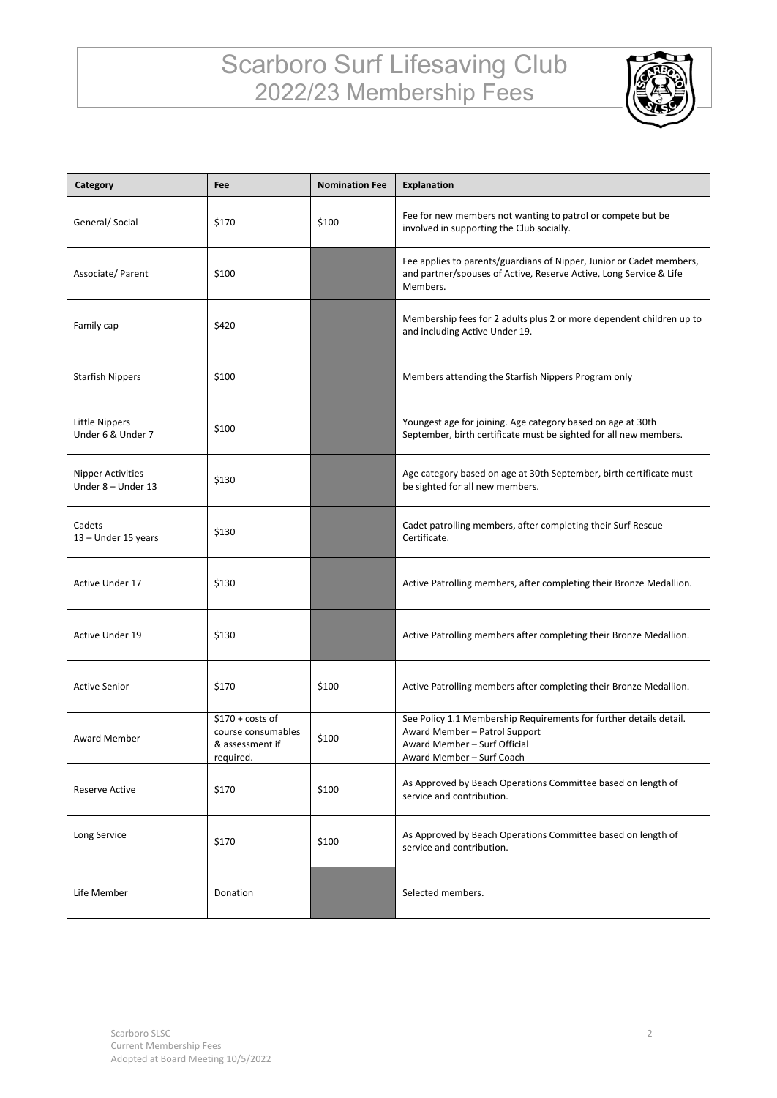# Scarboro Surf Lifesaving Club 2022/23 Membership Fees



| Category                                       | Fee                                                                     | <b>Nomination Fee</b> | Explanation                                                                                                                                                      |
|------------------------------------------------|-------------------------------------------------------------------------|-----------------------|------------------------------------------------------------------------------------------------------------------------------------------------------------------|
| General/Social                                 | \$170                                                                   | \$100                 | Fee for new members not wanting to patrol or compete but be<br>involved in supporting the Club socially.                                                         |
| Associate/Parent                               | \$100                                                                   |                       | Fee applies to parents/guardians of Nipper, Junior or Cadet members,<br>and partner/spouses of Active, Reserve Active, Long Service & Life<br>Members.           |
| Family cap                                     | \$420                                                                   |                       | Membership fees for 2 adults plus 2 or more dependent children up to<br>and including Active Under 19.                                                           |
| <b>Starfish Nippers</b>                        | \$100                                                                   |                       | Members attending the Starfish Nippers Program only                                                                                                              |
| Little Nippers<br>Under 6 & Under 7            | \$100                                                                   |                       | Youngest age for joining. Age category based on age at 30th<br>September, birth certificate must be sighted for all new members.                                 |
| <b>Nipper Activities</b><br>Under 8 - Under 13 | \$130                                                                   |                       | Age category based on age at 30th September, birth certificate must<br>be sighted for all new members.                                                           |
| Cadets<br>13 - Under 15 years                  | \$130                                                                   |                       | Cadet patrolling members, after completing their Surf Rescue<br>Certificate.                                                                                     |
| Active Under 17                                | \$130                                                                   |                       | Active Patrolling members, after completing their Bronze Medallion.                                                                                              |
| <b>Active Under 19</b>                         | \$130                                                                   |                       | Active Patrolling members after completing their Bronze Medallion.                                                                                               |
| <b>Active Senior</b>                           | \$170                                                                   | \$100                 | Active Patrolling members after completing their Bronze Medallion.                                                                                               |
| <b>Award Member</b>                            | $$170 + costs of$<br>course consumables<br>& assessment if<br>required. | \$100                 | See Policy 1.1 Membership Requirements for further details detail.<br>Award Member - Patrol Support<br>Award Member - Surf Official<br>Award Member - Surf Coach |
| <b>Reserve Active</b>                          | \$170                                                                   | \$100                 | As Approved by Beach Operations Committee based on length of<br>service and contribution.                                                                        |
| Long Service                                   | \$170                                                                   | \$100                 | As Approved by Beach Operations Committee based on length of<br>service and contribution.                                                                        |
| Life Member                                    | Donation                                                                |                       | Selected members.                                                                                                                                                |